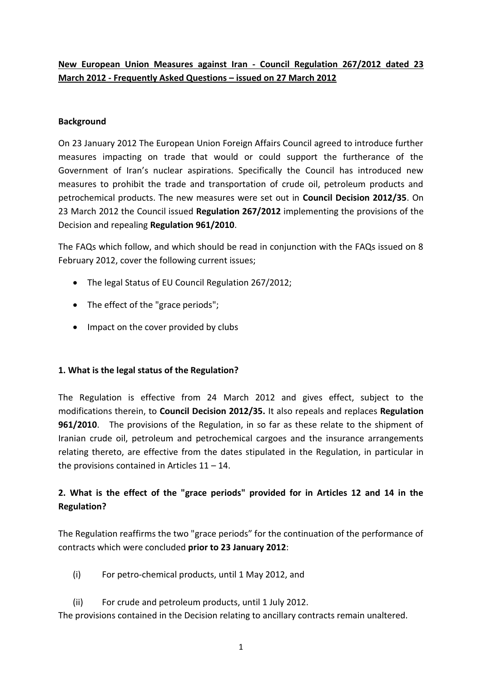## **New European Union Measures against Iran - Council Regulation 267/2012 dated 23 March 2012 - Frequently Asked Questions – issued on 27 March 2012**

#### **Background**

On 23 January 2012 The European Union Foreign Affairs Council agreed to introduce further measures impacting on trade that would or could support the furtherance of the Government of Iran's nuclear aspirations. Specifically the Council has introduced new measures to prohibit the trade and transportation of crude oil, petroleum products and petrochemical products. The new measures were set out in **Council Decision 2012/35**. On 23 March 2012 the Council issued **Regulation 267/2012** implementing the provisions of the Decision and repealing **Regulation 961/2010**.

The FAQs which follow, and which should be read in conjunction with the FAQs issued on 8 February 2012, cover the following current issues;

- The legal Status of EU Council Regulation 267/2012;
- The effect of the "grace periods";
- Impact on the cover provided by clubs

#### **1. What is the legal status of the Regulation?**

The Regulation is effective from 24 March 2012 and gives effect, subject to the modifications therein, to **Council Decision 2012/35.** It also repeals and replaces **Regulation 961/2010**. The provisions of the Regulation, in so far as these relate to the shipment of Iranian crude oil, petroleum and petrochemical cargoes and the insurance arrangements relating thereto, are effective from the dates stipulated in the Regulation, in particular in the provisions contained in Articles  $11 - 14$ .

# **2. What is the effect of the "grace periods" provided for in Articles 12 and 14 in the Regulation?**

The Regulation reaffirms the two "grace periods" for the continuation of the performance of contracts which were concluded **prior to 23 January 2012**:

- (i) For petro-chemical products, until 1 May 2012, and
- (ii) For crude and petroleum products, until 1 July 2012.

The provisions contained in the Decision relating to ancillary contracts remain unaltered.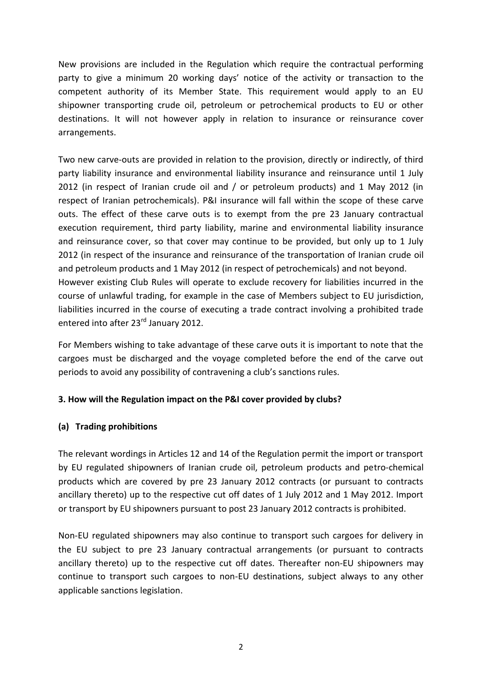New provisions are included in the Regulation which require the contractual performing party to give a minimum 20 working days' notice of the activity or transaction to the competent authority of its Member State. This requirement would apply to an EU shipowner transporting crude oil, petroleum or petrochemical products to EU or other destinations. It will not however apply in relation to insurance or reinsurance cover arrangements.

Two new carve-outs are provided in relation to the provision, directly or indirectly, of third party liability insurance and environmental liability insurance and reinsurance until 1 July 2012 (in respect of Iranian crude oil and / or petroleum products) and 1 May 2012 (in respect of Iranian petrochemicals). P&I insurance will fall within the scope of these carve outs. The effect of these carve outs is to exempt from the pre 23 January contractual execution requirement, third party liability, marine and environmental liability insurance and reinsurance cover, so that cover may continue to be provided, but only up to 1 July 2012 (in respect of the insurance and reinsurance of the transportation of Iranian crude oil and petroleum products and 1 May 2012 (in respect of petrochemicals) and not beyond. However existing Club Rules will operate to exclude recovery for liabilities incurred in the course of unlawful trading, for example in the case of Members subject to EU jurisdiction, liabilities incurred in the course of executing a trade contract involving a prohibited trade entered into after 23<sup>rd</sup> January 2012.

For Members wishing to take advantage of these carve outs it is important to note that the cargoes must be discharged and the voyage completed before the end of the carve out periods to avoid any possibility of contravening a club's sanctions rules.

#### **3. How will the Regulation impact on the P&I cover provided by clubs?**

#### **(a) Trading prohibitions**

The relevant wordings in Articles 12 and 14 of the Regulation permit the import or transport by EU regulated shipowners of Iranian crude oil, petroleum products and petro-chemical products which are covered by pre 23 January 2012 contracts (or pursuant to contracts ancillary thereto) up to the respective cut off dates of 1 July 2012 and 1 May 2012. Import or transport by EU shipowners pursuant to post 23 January 2012 contracts is prohibited.

Non-EU regulated shipowners may also continue to transport such cargoes for delivery in the EU subject to pre 23 January contractual arrangements (or pursuant to contracts ancillary thereto) up to the respective cut off dates. Thereafter non-EU shipowners may continue to transport such cargoes to non-EU destinations, subject always to any other applicable sanctions legislation.